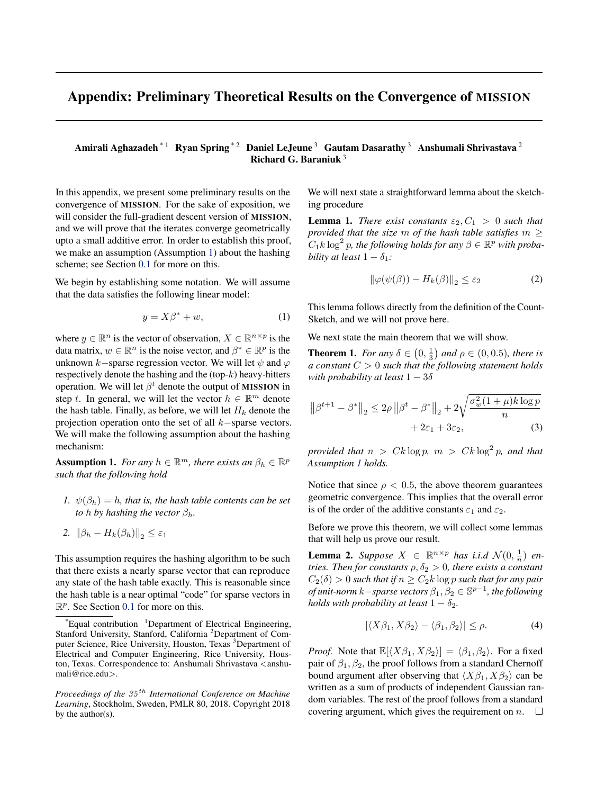## <span id="page-0-0"></span>Appendix: Preliminary Theoretical Results on the Convergence of MISSION

## Amirali Aghazadeh<sup>\* 1</sup> Ryan Spring<sup>\* 2</sup> Daniel LeJeune<sup>3</sup> Gautam Dasarathy<sup>3</sup> Anshumali Shrivastava<sup>2</sup> Richard G. Baraniuk <sup>3</sup>

In this appendix, we present some preliminary results on the convergence of MISSION. For the sake of exposition, we will consider the full-gradient descent version of **MISSION**, and we will prove that the iterates converge geometrically upto a small additive error. In order to establish this proof, we make an assumption (Assumption 1) about the hashing scheme; see Section [0.1](#page-2-0) for more on this.

We begin by establishing some notation. We will assume that the data satisfies the following linear model:

$$
y = X\beta^* + w,\tag{1}
$$

where  $y \in \mathbb{R}^n$  is the vector of observation,  $X \in \mathbb{R}^{n \times p}$  is the data matrix,  $w \in \mathbb{R}^n$  is the noise vector, and  $\beta^* \in \mathbb{R}^p$  is the unknown k−sparse regression vector. We will let  $\psi$  and  $\varphi$ respectively denote the hashing and the  $(top-k)$  heavy-hitters operation. We will let  $\beta^t$  denote the output of MISSION in step t. In general, we will let the vector  $h \in \mathbb{R}^m$  denote the hash table. Finally, as before, we will let  $H_k$  denote the projection operation onto the set of all k−sparse vectors. We will make the following assumption about the hashing mechanism:

**Assumption 1.** *For any*  $h \in \mathbb{R}^m$ *, there exists an*  $\beta_h \in \mathbb{R}^p$ *such that the following hold*

*1.*  $\psi(\beta_h) = h$ , that is, the hash table contents can be set *to h by hashing the vector*  $\beta_h$ *.* 

2. 
$$
\|\beta_h - H_k(\beta_h)\|_2 \leq \varepsilon_1
$$

This assumption requires the hashing algorithm to be such that there exists a nearly sparse vector that can reproduce any state of the hash table exactly. This is reasonable since the hash table is a near optimal "code" for sparse vectors in  $\mathbb{R}^p$ . See Section [0.1](#page-2-0) for more on this.

We will next state a straightforward lemma about the sketching procedure

**Lemma 1.** *There exist constants*  $\varepsilon_2$ ,  $C_1 > 0$  *such that provided that the size* m *of the hash table satisfies* m ≥  $C_1k\log^2 p$ , the following holds for any  $\beta \in \mathbb{R}^p$  with proba*bility at least*  $1 - \delta_1$ *:* 

$$
\|\varphi(\psi(\beta)) - H_k(\beta)\|_2 \le \varepsilon_2 \tag{2}
$$

This lemma follows directly from the definition of the Count-Sketch, and we will not prove here.

We next state the main theorem that we will show.

**Theorem 1.** *For any*  $\delta \in (0, \frac{1}{3})$  *and*  $\rho \in (0, 0.5)$ *, there is a constant* C > 0 *such that the following statement holds with probability at least*  $1 - 3\delta$ 

$$
\|\beta^{t+1} - \beta^*\|_2 \le 2\rho \|\beta^t - \beta^*\|_2 + 2\sqrt{\frac{\sigma_w^2(1+\mu)k\log p}{n}}
$$
  
+ 2\varepsilon\_1 + 3\varepsilon\_2, (3)

*provided that*  $n > Ck \log p$ ,  $m > Ck \log^2 p$ , and that *Assumption 1 holds.*

Notice that since  $\rho < 0.5$ , the above theorem guarantees geometric convergence. This implies that the overall error is of the order of the additive constants  $\varepsilon_1$  and  $\varepsilon_2$ .

Before we prove this theorem, we will collect some lemmas that will help us prove our result.

**Lemma 2.** Suppose  $X \in \mathbb{R}^{n \times p}$  has i.i.d  $\mathcal{N}(0, \frac{1}{n})$  en*tries. Then for constants*  $\rho, \delta_2 > 0$ *, there exists a constant*  $C_2(\delta) > 0$  *such that if*  $n \ge C_2k \log p$  *such that for any pair of unit-norm*  $k$  – *sparse vectors*  $\beta_1, \beta_2 \in \mathbb{S}^{p-1}$ , the following *holds with probability at least*  $1 - \delta_2$ *.* 

$$
|\langle X\beta_1, X\beta_2\rangle - \langle \beta_1, \beta_2\rangle| \le \rho. \tag{4}
$$

*Proof.* Note that  $\mathbb{E}[\langle X\beta_1, X\beta_2 \rangle] = \langle \beta_1, \beta_2 \rangle$ . For a fixed pair of  $\beta_1, \beta_2$ , the proof follows from a standard Chernoff bound argument after observing that  $\langle X\beta_1, X\beta_2 \rangle$  can be written as a sum of products of independent Gaussian random variables. The rest of the proof follows from a standard covering argument, which gives the requirement on  $n.$   $\Box$ 

 $E$ qual contribution <sup>1</sup>Department of Electrical Engineering, Stanford University, Stanford, California <sup>2</sup>Department of Computer Science, Rice University, Houston, Texas <sup>3</sup>Department of Electrical and Computer Engineering, Rice University, Houston, Texas. Correspondence to: Anshumali Shrivastava <anshumali@rice.edu>.

*Proceedings of the* 35 th *International Conference on Machine Learning*, Stockholm, Sweden, PMLR 80, 2018. Copyright 2018 by the author(s).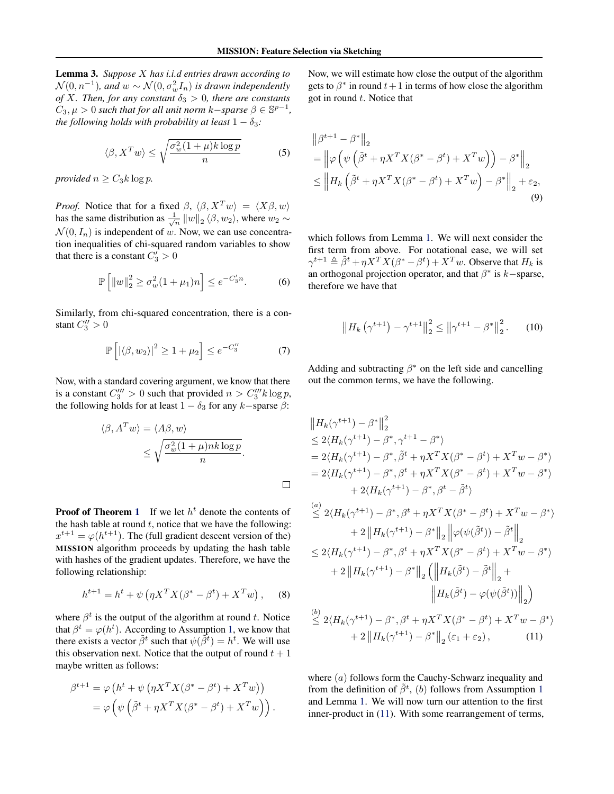<span id="page-1-0"></span>Lemma 3. *Suppose* X *has i.i.d entries drawn according to*  $\mathcal{N}(0,n^{-1})$ , and  $w \sim \mathcal{N}(0,\sigma_w^2I_n)$  is drawn independently *of* X. Then, for any constant  $\delta_3 > 0$ , there are constants  $C_3, \mu > 0$  such that for all unit norm  $k$ -*sparse*  $\beta \in \mathbb{S}^{p-1}$ , *the following holds with probability at least*  $1 - \delta_3$ *:* 

$$
\langle \beta, X^T w \rangle \le \sqrt{\frac{\sigma_w^2 (1 + \mu) k \log p}{n}} \tag{5}
$$

*provided*  $n \geq C_3 k \log p$ .

*Proof.* Notice that for a fixed  $\beta$ ,  $\langle \beta, X^T w \rangle = \langle X\beta, w \rangle$ has the same distribution as  $\frac{1}{\sqrt{n}} ||w||_2 \langle \beta, w_2 \rangle$ , where  $w_2 \sim$  $\mathcal{N}(0, I_n)$  is independent of w. Now, we can use concentration inequalities of chi-squared random variables to show that there is a constant  $C'_3 > 0$ 

$$
\mathbb{P}\left[\|w\|_{2}^{2} \ge \sigma_{w}^{2}(1+\mu_{1})n\right] \le e^{-C_{3}'n}.\tag{6}
$$

Similarly, from chi-squared concentration, there is a constant  $C_3^{\prime\prime} > 0$ 

$$
\mathbb{P}\left[\left|\langle\beta,w_2\rangle\right|^2 \ge 1 + \mu_2\right] \le e^{-C_3''} \tag{7}
$$

Now, with a standard covering argument, we know that there is a constant  $C_3''' > 0$  such that provided  $n > C_3''' k \log p$ , the following holds for at least  $1 - \delta_3$  for any  $k$ −sparse  $\beta$ :

$$
\langle \beta, A^T w \rangle = \langle A\beta, w \rangle
$$
  
 
$$
\leq \sqrt{\frac{\sigma_w^2 (1 + \mu) n k \log p}{n}}.
$$

**Proof of Theorem [1](#page-0-0)** If we let  $h^t$  denote the contents of the hash table at round  $t$ , notice that we have the following:  $x^{t+1} = \varphi(h^{t+1})$ . The (full gradient descent version of the) MISSION algorithm proceeds by updating the hash table with hashes of the gradient updates. Therefore, we have the following relationship:

$$
h^{t+1} = h^t + \psi \left( \eta X^T X (\beta^* - \beta^t) + X^T w \right), \quad (8)
$$

where  $\beta^t$  is the output of the algorithm at round t. Notice that  $\beta^t = \varphi(h^t)$ . According to Assumption [1,](#page-0-0) we know that there exists a vector  $\tilde{\beta}^t$  such that  $\psi(\tilde{\beta}^t) = h^t$ . We will use this observation next. Notice that the output of round  $t + 1$ maybe written as follows:

$$
\beta^{t+1} = \varphi \left( h^t + \psi \left( \eta X^T X (\beta^* - \beta^t) + X^T w \right) \right) = \varphi \left( \psi \left( \tilde{\beta}^t + \eta X^T X (\beta^* - \beta^t) + X^T w \right) \right).
$$

Now, we will estimate how close the output of the algorithm gets to  $\beta^*$  in round  $t+1$  in terms of how close the algorithm got in round  $t$ . Notice that

$$
\|\beta^{t+1} - \beta^*\|_2
$$
  
=  $\left\|\varphi\left(\psi\left(\tilde{\beta}^t + \eta X^T X (\beta^* - \beta^t) + X^T w\right)\right) - \beta^*\right\|_2$   
 $\leq \left\|H_k\left(\tilde{\beta}^t + \eta X^T X (\beta^* - \beta^t) + X^T w\right) - \beta^*\right\|_2 + \varepsilon_2,$  (9)

which follows from Lemma [1.](#page-0-0) We will next consider the first term from above. For notational ease, we will set  $\gamma^{t+1} \triangleq \tilde{\beta}^t + \eta X^T X (\beta^* - \beta^t) + X^T w$ . Observe that  $H_k$  is an orthogonal projection operator, and that  $\beta^*$  is  $k$  –sparse, therefore we have that

$$
\left\| H_k \left( \gamma^{t+1} \right) - \gamma^{t+1} \right\|_2^2 \le \left\| \gamma^{t+1} - \beta^* \right\|_2^2. \tag{10}
$$

Adding and subtracting  $\beta^*$  on the left side and cancelling out the common terms, we have the following.

$$
||H_k(\gamma^{t+1}) - \beta^*||_2^2
$$
  
\n
$$
\leq 2\langle H_k(\gamma^{t+1}) - \beta^*, \gamma^{t+1} - \beta^* \rangle
$$
  
\n
$$
= 2\langle H_k(\gamma^{t+1}) - \beta^*, \tilde{\beta}^t + \eta X^T X (\beta^* - \beta^t) + X^T w - \beta^* \rangle
$$
  
\n
$$
= 2\langle H_k(\gamma^{t+1}) - \beta^*, \beta^t + \eta X^T X (\beta^* - \beta^t) + X^T w - \beta^* \rangle
$$
  
\n
$$
+ 2\langle H_k(\gamma^{t+1}) - \beta^*, \beta^t - \tilde{\beta}^t \rangle
$$

$$
\leq 2\langle H_k(\gamma^{t+1}) - \beta^*, \beta^t + \eta X^T X (\beta^* - \beta^t) + X^T w - \beta^* \rangle
$$
  
+ 2 ||H\_k(\gamma^{t+1}) - \beta^\*||\_2 ||\varphi(\psi(\tilde{\beta}^t)) - \tilde{\beta}^t||\_2  
\n
$$
\leq 2\langle H_k(\gamma^{t+1}) - \beta^*, \beta^t + \eta X^T X (\beta^* - \beta^t) + X^T w - \beta^* \rangle
$$
  
+ 2 ||H\_k(\gamma^{t+1}) - \beta^\*||\_2 (||H\_k(\tilde{\beta}^t) - \tilde{\beta}^t||\_2 + ||H\_k(\tilde{\beta}^t) - \varphi(\psi(\tilde{\beta}^t))||\_2)  
\n
$$
\leq 2\langle H_k(\gamma^{t+1}) - \beta^*, \beta^t + \eta X^T X (\beta^* - \beta^t) + X^T w - \beta^* \rangle
$$
  
+ 2 ||H\_k(\gamma^{t+1}) - \beta^\*||\_2 (\varepsilon\_1 + \varepsilon\_2), (11)

where  $(a)$  follows form the Cauchy-Schwarz inequality and from the definition of  $\tilde{\beta}^t$ , (b) follows from Assumption [1](#page-0-0) and Lemma [1.](#page-0-0) We will now turn our attention to the first inner-product in (11). With some rearrangement of terms,